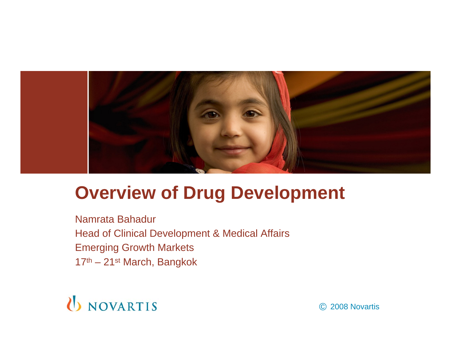

# **Overview of Drug Development**

Namrata BahadurHead of Clinical Development & Medical Affairs Emerging Growth Markets 17<sup>th</sup> – 21<sup>st</sup> March, Bangkok



 $\odot$ 2008 Novartis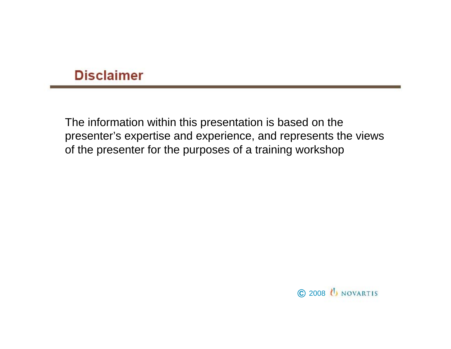## **Disclaimer**

The information within this presentation is based on the presenter's expertise and experience, and represents the views of the presenter for the purposes of a training workshop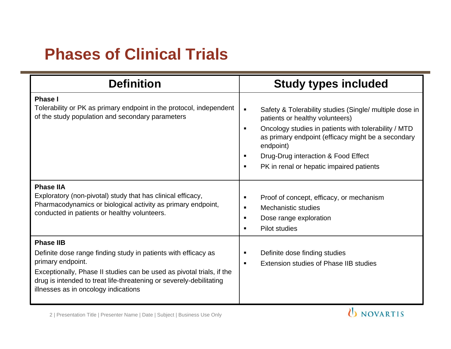# **Phases of Clinical Trials**

| <b>Definition</b>                                                                                                                                                                                                                                                                               | <b>Study types included</b>                                                                                                                                                                                                                                                                                                |
|-------------------------------------------------------------------------------------------------------------------------------------------------------------------------------------------------------------------------------------------------------------------------------------------------|----------------------------------------------------------------------------------------------------------------------------------------------------------------------------------------------------------------------------------------------------------------------------------------------------------------------------|
| <b>Phase I</b><br>Tolerability or PK as primary endpoint in the protocol, independent<br>of the study population and secondary parameters                                                                                                                                                       | Safety & Tolerability studies (Single/ multiple dose in<br>patients or healthy volunteers)<br>Oncology studies in patients with tolerability / MTD<br>as primary endpoint (efficacy might be a secondary<br>endpoint)<br>Drug-Drug interaction & Food Effect<br>PK in renal or hepatic impaired patients<br>$\blacksquare$ |
| <b>Phase IIA</b><br>Exploratory (non-pivotal) study that has clinical efficacy,<br>Pharmacodynamics or biological activity as primary endpoint,<br>conducted in patients or healthy volunteers.                                                                                                 | Proof of concept, efficacy, or mechanism<br>Mechanistic studies<br>$\blacksquare$<br>Dose range exploration<br><b>Pilot studies</b>                                                                                                                                                                                        |
| <b>Phase IIB</b><br>Definite dose range finding study in patients with efficacy as<br>primary endpoint.<br>Exceptionally, Phase II studies can be used as pivotal trials, if the<br>drug is intended to treat life-threatening or severely-debilitating<br>illnesses as in oncology indications | Definite dose finding studies<br>Extension studies of Phase IIB studies<br>$\blacksquare$                                                                                                                                                                                                                                  |

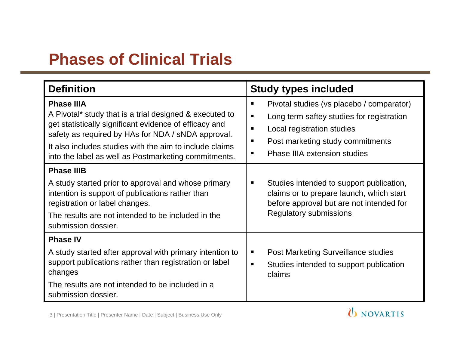# **Phases of Clinical Trials**

| <b>Definition</b>                                                                                                                                                                                                                                                                                               | <b>Study types included</b>                                                                                                                                                                     |
|-----------------------------------------------------------------------------------------------------------------------------------------------------------------------------------------------------------------------------------------------------------------------------------------------------------------|-------------------------------------------------------------------------------------------------------------------------------------------------------------------------------------------------|
| <b>Phase IIIA</b><br>A Pivotal* study that is a trial designed & executed to<br>get statistically significant evidence of efficacy and<br>safety as required by HAs for NDA / sNDA approval.<br>It also includes studies with the aim to include claims<br>into the label as well as Postmarketing commitments. | Pivotal studies (vs placebo / comparator)<br>Long term saftey studies for registration<br>Local registration studies<br>Post marketing study commitments<br><b>Phase IIIA extension studies</b> |
| <b>Phase IIIB</b><br>A study started prior to approval and whose primary<br>intention is support of publications rather than<br>registration or label changes.<br>The results are not intended to be included in the<br>submission dossier.                                                                     | Studies intended to support publication,<br>claims or to prepare launch, which start<br>before approval but are not intended for<br><b>Regulatory submissions</b>                               |
| <b>Phase IV</b><br>A study started after approval with primary intention to<br>support publications rather than registration or label<br>changes<br>The results are not intended to be included in a<br>submission dossier.                                                                                     | Post Marketing Surveillance studies<br>п<br>Studies intended to support publication<br>claims                                                                                                   |

### U NOVARTIS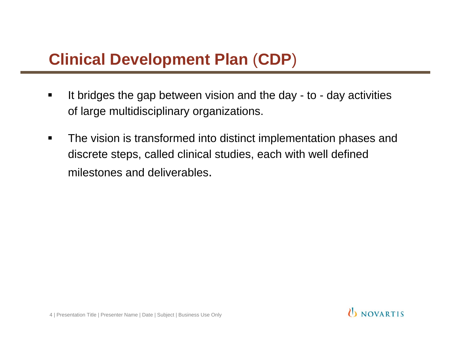# **Clinical Development Plan** (**CDP**)

- $\blacksquare$  It bridges the gap between vision and the day - to - day activities of large multidisciplinary organizations.
- $\blacksquare$  The vision is transformed into distinct implementation phases and discrete steps, called clinical studies, each with well defined milestones and deliverables.

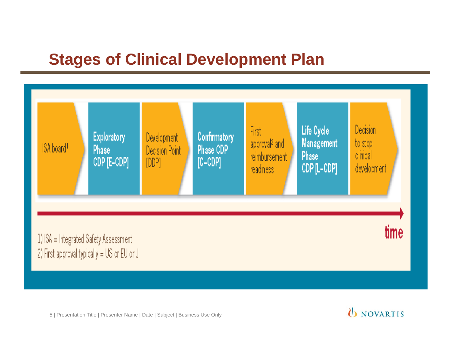# **Stages of Clinical Development Plan**



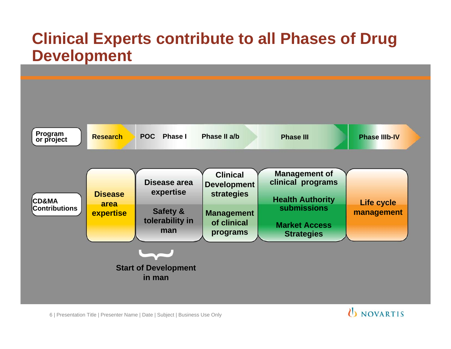## **Clinical Experts contribute to all Phases of Drug Development**



**UNOVARTIS**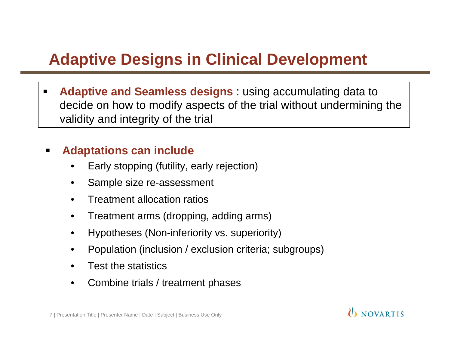# **Adaptive Designs in Clinical Development**

 $\blacksquare$  **Adaptive and Seamless designs** : using accumulating data to decide on how to modify aspects of the trial without undermining the validity and integrity of the trial

#### $\blacksquare$ **Adaptations can include**

- •Early stopping (futility, early rejection)
- •Sample size re-assessment
- •Treatment allocation ratios
- •Treatment arms (dropping, adding arms)
- •Hypotheses (Non-inferiority vs. superiority)
- •Population (inclusion / exclusion criteria; subgroups)
- •Test the statistics
- •Combine trials / treatment phases

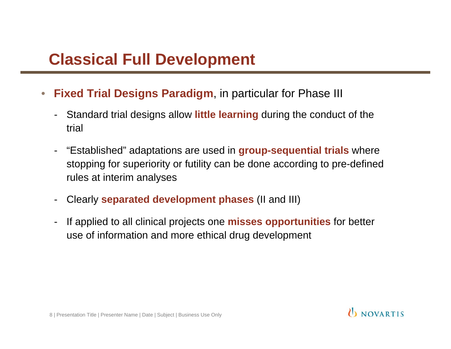# **Classical Full Development**

- $\overline{\phantom{a}}$  **Fixed Trial Designs Paradigm**, in particular for Phase III
	- - Standard trial designs allow **little learning** during the conduct of the trial
	- "Established" adaptations are used in **group-sequential trials** where stopping for superiority or futility can be done according to pre-defined rules at interim analyses
	- -Clearly **separated development phases** (II and III)
	- - If applied to all clinical projects one **misses opportunities** for better use of information and more ethical drug development

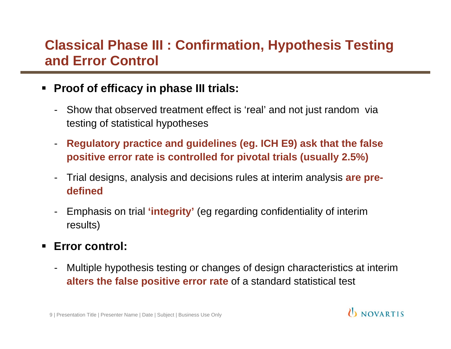## **Classical Phase III : Confirmation, Hypothesis Testing and Error Control**

- **Proof of efficacy in phase III trials:**
	- Show that observed treatment effect is 'real' and not just random via testing of statistical hypotheses
	- - **Regulatory practice and guidelines (eg. ICH E9) ask that the false positive error rate is controlled for pivotal trials (usually 2.5%)**
	- Trial designs, analysis and decisions rules at interim analysis **are predefined**
	- - Emphasis on trial **'integrity'** (eg regarding confidentiality of interim results)

#### $\blacksquare$ **Error control:**

- Multiple hypothesis testing or changes of design characteristics at interim **alters the false positive error rate** of a standard statistical test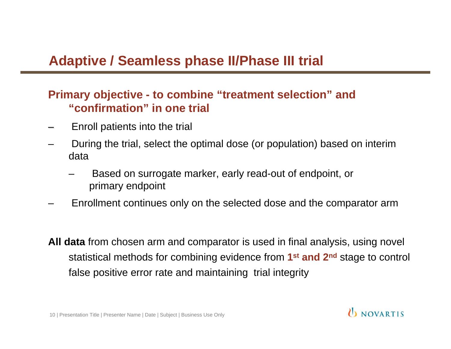## **Adaptive / Seamless phase II/Phase III trial**

### **Primary objective - to combine "treatment selection" and "confirmation" in one trial**

- Enroll patients into the trial –
- During the trial, select the optimal dose (or population) based on interim data
	- – Based on surrogate marker, early read-out of endpoint, or primary endpoint
- Enrollment continues only on the selected dose and the comparator arm
- **All data** from chosen arm and comparator is used in final analysis, using novel statistical methods for combining evidence from **1st and 2nd** stage to control false positive error rate and maintaining trial integrity

**I** NOVARTIS

10 | Presentation Title | Presenter Name | Date | Subject | Business Use Only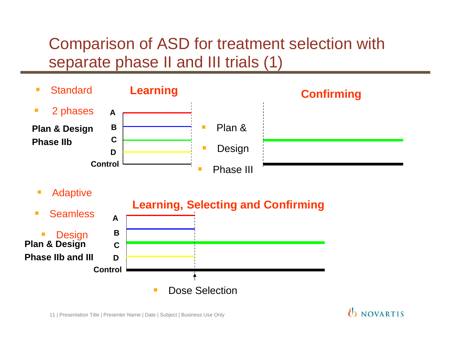# Comparison of ASD for treatment selection with separate phase II and III trials (1)



11 | Presentation Title | Presenter Name | Date | Subject | Business Use Only

### **I** NOVARTIS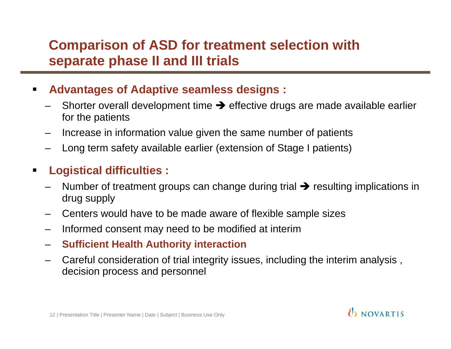## **Comparison of ASD for treatment selection with separate phase II and III trials**

- ш **Advantages of Adaptive seamless designs :**
	- Shorter overall development time  $\rightarrow$  effective drugs are made available earlier for the patients
	- Increase in information value given the same number of patients
	- Long term safety available earlier (extension of Stage I patients)

#### П **Logistical difficulties :**

- Number of treatment groups can change during trial  $\rightarrow$  resulting implications in drug supply
- Centers would have to be made aware of flexible sample sizes
- Informed consent may need to be modified at interim
- **Sufficient Health Authority interaction**
- Careful consideration of trial integrity issues, including the interim analysis , decision process and personnel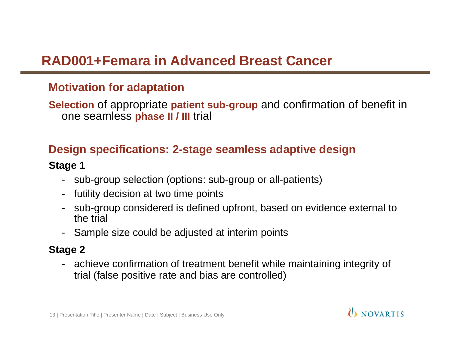## **RAD001+Femara in Advanced Breast Cancer**

#### **Motivation for adaptation**

**Selection** of appropriate **patient sub-group** and confirmation of benefit in one seamless **phase II / III** trial

#### **Design specifications: 2-stage seamless adaptive design**

#### **Stage 1**

- sub-group selection (options: sub-group or all-patients)
- futility decision at two time points
- sub-group considered is defined upfront, based on evidence external to the trial
- Sample size could be adjusted at interim points

#### **Stage 2**

- achieve confirmation of treatment benefit while maintaining integrity of trial (false positive rate and bias are controlled)

**I** NOVARTIS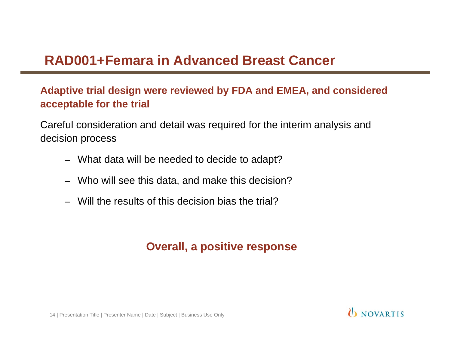## **RAD001+Femara in Advanced Breast Cancer**

#### **Adaptive trial design were reviewed by FDA and EMEA, and considered acceptable for the trial**

Careful consideration and detail was required for the interim analysis and decision process

- What data will be needed to decide to adapt?
- Who will see this data, and make this decision?
- Will the results of this decision bias the trial?

## **Overall, a positive response**